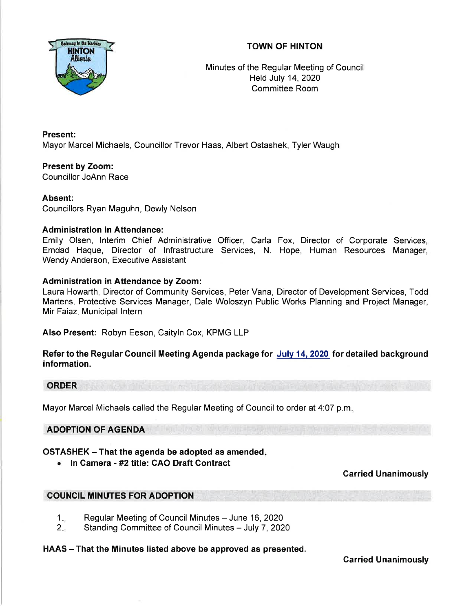## TOWN OF HINTON



Minutes of the Regular Meeting of Council Held July 14,2020 Committee Room

Present: Mayor Marcel Michaels, Councillor Trevor Haas, Albert Ostashek, Tyler Waugh

Present by Zoom: Councillor JoAnn Race

## Absent:

Councillors Ryan Maguhn, Dewly Nelson

## Administration in Attendance:

Emily Olsen, lnterim Chief Administrative Officer, Carla Fox, Director of Corporate Services, Emdad Haque, Director of lnfrastructure Services, N. Hope, Human Resources Manager, Wendy Anderson, Executive Assistant

#### Administration in Attendance by Zoom:

Laura Howarth, Director of Community Services, Peter Vana, Director of Development Services, Todd Martens, Protective Services Manager, Dale Woloszyn Public Works Planning and Project Manager, Mir Faiaz, Municipal lntern

Also Present: Robyn Eeson, Caityln Cox, KPMG LLP

Refer to the Regular Council Meeting Agenda package for July 14, 2020 for detailed background information.

# **ORDER**

Mayor Marcel Michaels called the Regular Meeting of Council to order at 4:07 p.m

## ADOPTION OF AGENDA

## $OSTASHEK - That$  the agenda be adopted as amended.

. ln Camera - #2 title: CAO Draft Gontract

## Carried Unanimously

## COUNCIL MINUTES FOR ADOPTION

- Regular Meeting of Council Minutes June 16, 2020  $1.$
- Standing Committee of Council Minutes July 7, 2020  $2.$

#### HAAS - That the Minutes listed above be approved as presented.

Carried Unanimously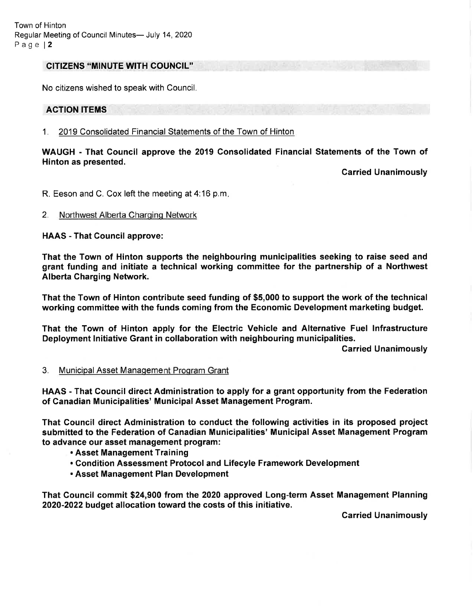#### CITIZENS "MINUTE WITH COUNCIL'

No citizens wished to speak with Council.

### ACTION ITEMS

#### <sup>1</sup>. 2019 Consolidated Financial Statements of the Town of Hinton

WAUGH - That Council approve the 2019 Gonsolidated Financial Statements of the Town of Hinton as presented.

Carried Unanimously

R. Eeson and C. Cox left the meeting at 4:16 p.m

#### 2. Northwest Alberta Charginq Network

HAAS - That Gouncil approve:

That the Town of Hinton supports the neighbouring municipalities seeking to raise seed and grant funding and initiate a technical working committee for the partnership of a Northwest Alberta Gharging Network.

That the Town of Hinton contribute seed funding of \$5,000 to support the work of the technical working committee with the funds coming from the Economic Development marketing budget.

That the Town of Hinton apply for the Electric Vehicle and Alternative Fuel lnfrastructure Deployment lnitiative Grant in collaboration with neighbouring municipalities.

Carried Unanimously

#### 3. Municipal Asset Management Program Grant

HAAS - That Council direct Administration to apply for a grant opportunity from the Federation of Canadian Municipalities' Municipal Asset Management Program.

That Council direct Administration to conduct the following activities in its proposed project submitted to the Federation of Canadian Municipalities' Municipal Asset Management Program to advance our asset management program:

- . Asset Management Training
- . Condition Assessment Protocol and Lifecyle Framework Development
- . Asset Management Plan Development

That Gouncil commit \$24,900 from the 2020 approved Long-term Asset Management Planning 2020-2022 budget allocation toward the costs of this initiative.

Garried Unanimously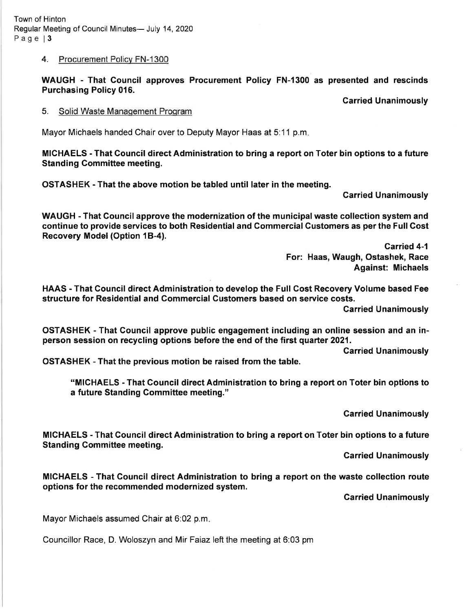# 4. Procurement Policv FN-1300

WAUGH - That Council approves Procurement Policy FN-l300 as presented and rescinds Purchasing Policy 016.

Garried Unanimously

# 5. Solid Waste Management Program

Mayor Michaels handed Chair over to Deputy Mayor Haas at 5:11 p.m.

MICHAELS - That Council direct Administration to bring a report on Toter bin options to a future **Standing Committee meeting.** 

OSTASHEK - That the above motion be tabled until later in the meeting.

Carried Unanimously

WAUGH - That Gouncil approve the modernization of the municipal waste collection system and continue to provide services to both Residential and Commercial Customers as per the Full Gost Recovery Model (Option 1B-4).

> Garried 4-1 For: Haas, Waugh, Ostashek, Race Against: Michaels

HAAS - That Gouncil direct Administration to develop the Full Cost Recovery Volume based Fee structure for Residential and Gommercial Gustomers based on service costs.

Carried Unanimously

OSTASHEK - That Council approve public engagement including an online session and an inperson session on recycling options before the end of the first quarter 2021.

Carried Unanimously

OSTASHEK - That the previous motion be raised from the table.

"MICHAELS - That Gouncil direct Administration to bring a report on Toter bin options to a future Standing Committee meeting."

Garried Unanimously

MIGHAELS - That Council direct Administration to bring a report on Toter bin options to a future Standing Gommittee meeting.

Carried Unanimously

MICHAELS - That Council direct Administration to bring a report on the waste collection route options for the recommended modernized system.

Garried Unanimously

Mayor Michaels assumed Chair at 6:02 p.m

Councillor Race, D. Woloszyn and Mir Faiaz left the meeting at 6:03 pm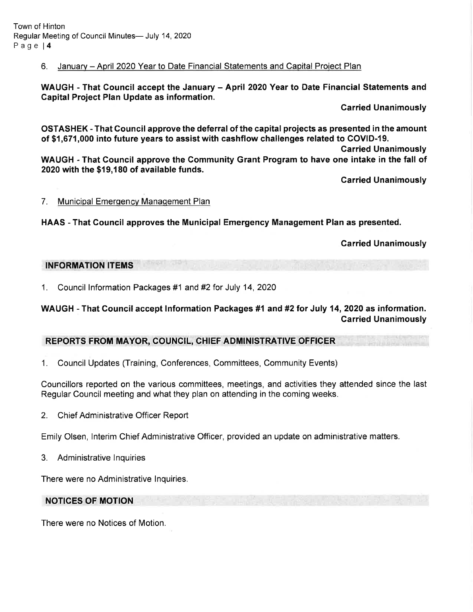## 6. Januarv - April 2020 Year to Date Financial Statements and Caoital Proiect Plan

WAUGH - That Council accept the January - April 2020 Year to Date Financial Statements and Gapital Project Plan Update as information.

Carried Unanimously

OSTASHEK - That Gouncil approve the deferral of the capital projects as presented in the amount of \$1,671,000 into future years to assist with cashflow challenges related to COVID-19.

Garried Unanimously

WAUGH - That Council approve the Community Grant Program to have one intake in the fall of 2020 with the \$19,180 of available funds.

Garried Unanimously

#### 7. Municipal Emergency Management Plan

HAAS - That Gouncil approves the Municipal Emergency Management Plan as presented.

Carried Unanimously

#### INFORMATION ITEMS

1. Council lnformation Packages #1 and #2 for July 14, <sup>2020</sup>

WAUGH - That Council accept Information Packages #1 and #2 for July 14, 2020 as information. Carried Unanimously

## REPORTS FROM MAYOR, COUNCIL, CHIEF ADMINISTRATIVE OFFICER

1. Council Updates (Training, Conferences, Committees, Community Events)

Councillors reported on the various committees, meetings, and activities they attended since the last Regular Council meeting and what they plan on attending in the coming weeks.

2. Chief Administrative Officer Report

Emily Olsen, lnterim Chief Administrative Officer, provided an update on administrative matters.

3. Administrative lnquiries

There were no Administrative lnquiries.

## NOTICES OF MOTION

There were no Notices of Motion.